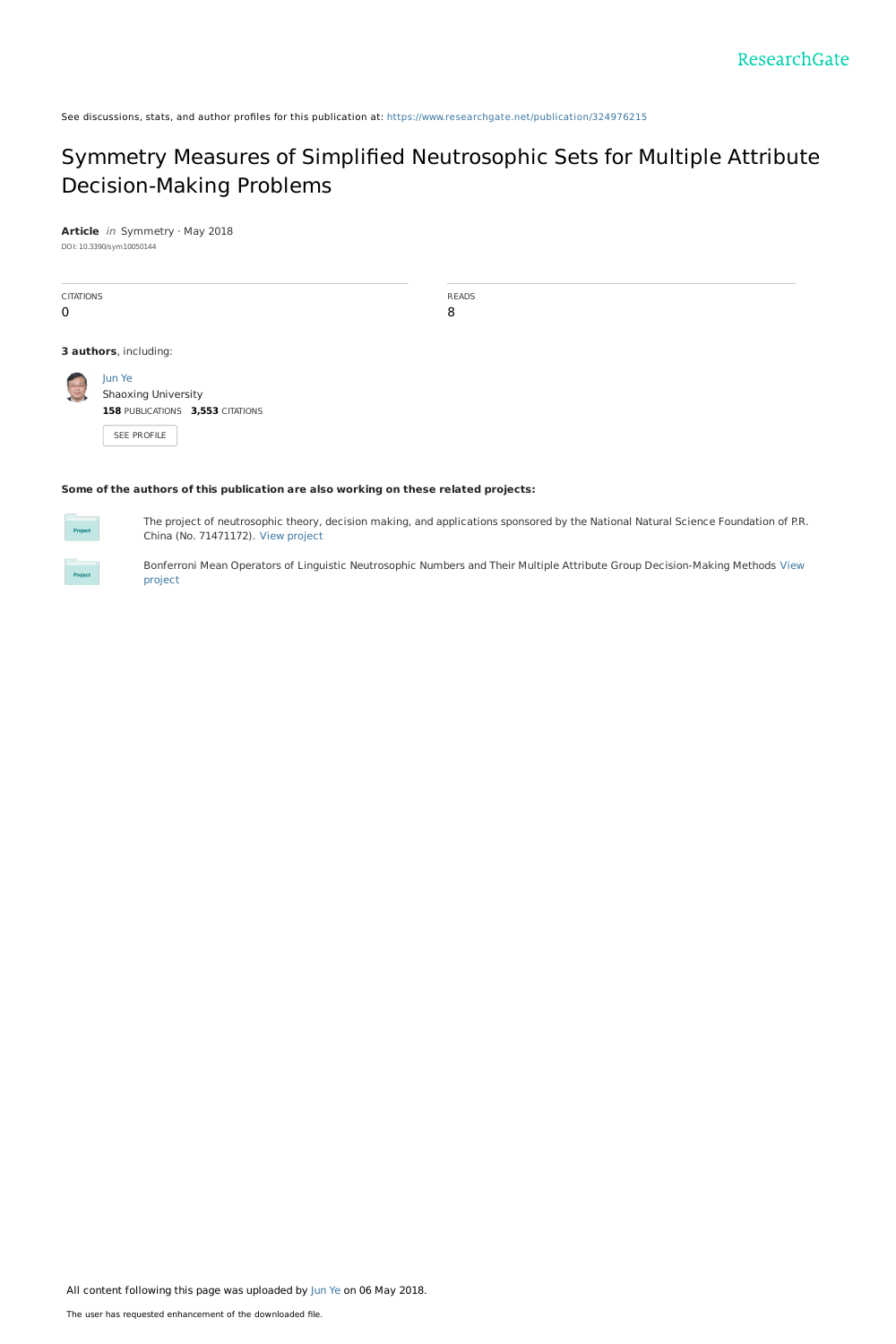See discussions, stats, and author profiles for this publication at: [https://www.researchgate.net/publication/324976215](https://www.researchgate.net/publication/324976215_Symmetry_Measures_of_Simplified_Neutrosophic_Sets_for_Multiple_Attribute_Decision-Making_Problems?enrichId=rgreq-988ea2dd7f1e934cbcfb2ae0a303da1a-XXX&enrichSource=Y292ZXJQYWdlOzMyNDk3NjIxNTtBUzo2MjMxNTQyMzM4ODA1NzZAMTUyNTU4Mjk1NTE0OA%3D%3D&el=1_x_2&_esc=publicationCoverPdf)

## Symmetry Measures of Simplified Neutrosophic Sets for Multiple Attribute [Decision-Making](https://www.researchgate.net/publication/324976215_Symmetry_Measures_of_Simplified_Neutrosophic_Sets_for_Multiple_Attribute_Decision-Making_Problems?enrichId=rgreq-988ea2dd7f1e934cbcfb2ae0a303da1a-XXX&enrichSource=Y292ZXJQYWdlOzMyNDk3NjIxNTtBUzo2MjMxNTQyMzM4ODA1NzZAMTUyNTU4Mjk1NTE0OA%3D%3D&el=1_x_3&_esc=publicationCoverPdf) Problems

**Article** in Symmetry · May 2018 DOI: 10.3390/sym10050144

| <b>CITATIONS</b><br>$\mathbf 0$ |                                                                                     | <b>READS</b><br>8 |  |  |  |  |  |
|---------------------------------|-------------------------------------------------------------------------------------|-------------------|--|--|--|--|--|
|                                 | 3 authors, including:                                                               |                   |  |  |  |  |  |
| $\left( -\right)$               | Jun Ye<br>Shaoxing University<br>158 PUBLICATIONS 3,553 CITATIONS<br>SEE PROFILE    |                   |  |  |  |  |  |
|                                 | Some of the authors of this publication are also working on these related projects: |                   |  |  |  |  |  |

#### **Some of the authors of this publication are also working on these related projects:**



The project of neutrosophic theory, decision making, and applications sponsored by the National Natural Science Foundation of P.R. China (No. 71471172). View [project](https://www.researchgate.net/project/The-project-of-neutrosophic-theory-decision-making-and-applications-sponsored-by-the-National-Natural-Science-Foundation-of-PR-China-No-71471172?enrichId=rgreq-988ea2dd7f1e934cbcfb2ae0a303da1a-XXX&enrichSource=Y292ZXJQYWdlOzMyNDk3NjIxNTtBUzo2MjMxNTQyMzM4ODA1NzZAMTUyNTU4Mjk1NTE0OA%3D%3D&el=1_x_9&_esc=publicationCoverPdf)



Bonferroni Mean Operators of Linguistic Neutrosophic Numbers and Their Multiple Attribute Group [Decision-Making](https://www.researchgate.net/project/Bonferroni-Mean-Operators-of-Linguistic-Neutrosophic-Numbers-and-Their-Multiple-Attribute-Group-Decision-Making-Methods?enrichId=rgreq-988ea2dd7f1e934cbcfb2ae0a303da1a-XXX&enrichSource=Y292ZXJQYWdlOzMyNDk3NjIxNTtBUzo2MjMxNTQyMzM4ODA1NzZAMTUyNTU4Mjk1NTE0OA%3D%3D&el=1_x_9&_esc=publicationCoverPdf) Methods View project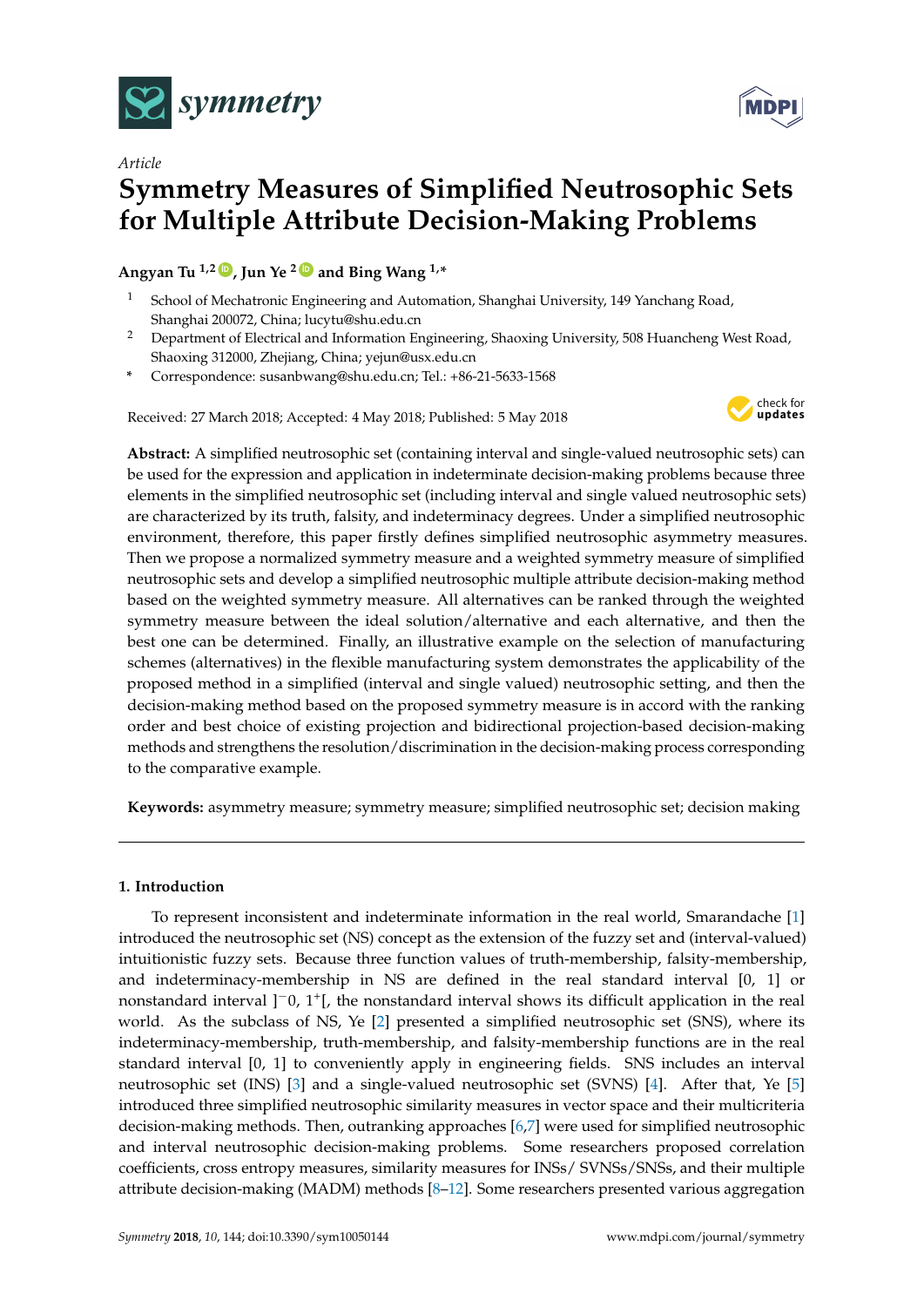



# *Article* **Symmetry Measures of Simplified Neutrosophic Sets for Multiple Attribute Decision-Making Problems**

Angyan Tu<sup>1,2</sup>  $\bullet$ , Jun Ye<sup>2</sup> $\bullet$  and Bing Wang<sup>1,\*</sup>

- <sup>1</sup> School of Mechatronic Engineering and Automation, Shanghai University, 149 Yanchang Road, Shanghai 200072, China; lucytu@shu.edu.cn
- <sup>2</sup> Department of Electrical and Information Engineering, Shaoxing University, 508 Huancheng West Road, Shaoxing 312000, Zhejiang, China; yejun@usx.edu.cn
- **\*** Correspondence: susanbwang@shu.edu.cn; Tel.: +86-21-5633-1568

Received: 27 March 2018; Accepted: 4 May 2018; Published: 5 May 2018



**Abstract:** A simplified neutrosophic set (containing interval and single-valued neutrosophic sets) can be used for the expression and application in indeterminate decision-making problems because three elements in the simplified neutrosophic set (including interval and single valued neutrosophic sets) are characterized by its truth, falsity, and indeterminacy degrees. Under a simplified neutrosophic environment, therefore, this paper firstly defines simplified neutrosophic asymmetry measures. Then we propose a normalized symmetry measure and a weighted symmetry measure of simplified neutrosophic sets and develop a simplified neutrosophic multiple attribute decision-making method based on the weighted symmetry measure. All alternatives can be ranked through the weighted symmetry measure between the ideal solution/alternative and each alternative, and then the best one can be determined. Finally, an illustrative example on the selection of manufacturing schemes (alternatives) in the flexible manufacturing system demonstrates the applicability of the proposed method in a simplified (interval and single valued) neutrosophic setting, and then the decision-making method based on the proposed symmetry measure is in accord with the ranking order and best choice of existing projection and bidirectional projection-based decision-making methods and strengthens the resolution/discrimination in the decision-making process corresponding to the comparative example.

**Keywords:** asymmetry measure; symmetry measure; simplified neutrosophic set; decision making

## **1. Introduction**

To represent inconsistent and indeterminate information in the real world, Smarandache [\[1\]](#page-8-0) introduced the neutrosophic set (NS) concept as the extension of the fuzzy set and (interval-valued) intuitionistic fuzzy sets. Because three function values of truth-membership, falsity-membership, and indeterminacy-membership in NS are defined in the real standard interval [0, 1] or nonstandard interval ]<sup>-</sup>0, 1<sup>+</sup>[, the nonstandard interval shows its difficult application in the real world. As the subclass of NS, Ye [\[2\]](#page-8-1) presented a simplified neutrosophic set (SNS), where its indeterminacy-membership, truth-membership, and falsity-membership functions are in the real standard interval [0, 1] to conveniently apply in engineering fields. SNS includes an interval neutrosophic set (INS) [\[3\]](#page-8-2) and a single-valued neutrosophic set (SVNS) [\[4\]](#page-8-3). After that, Ye [\[5\]](#page-8-4) introduced three simplified neutrosophic similarity measures in vector space and their multicriteria decision-making methods. Then, outranking approaches [\[6](#page-8-5)[,7\]](#page-8-6) were used for simplified neutrosophic and interval neutrosophic decision-making problems. Some researchers proposed correlation coefficients, cross entropy measures, similarity measures for INSs/ SVNSs/SNSs, and their multiple attribute decision-making (MADM) methods [\[8–](#page-8-7)[12\]](#page-9-0). Some researchers presented various aggregation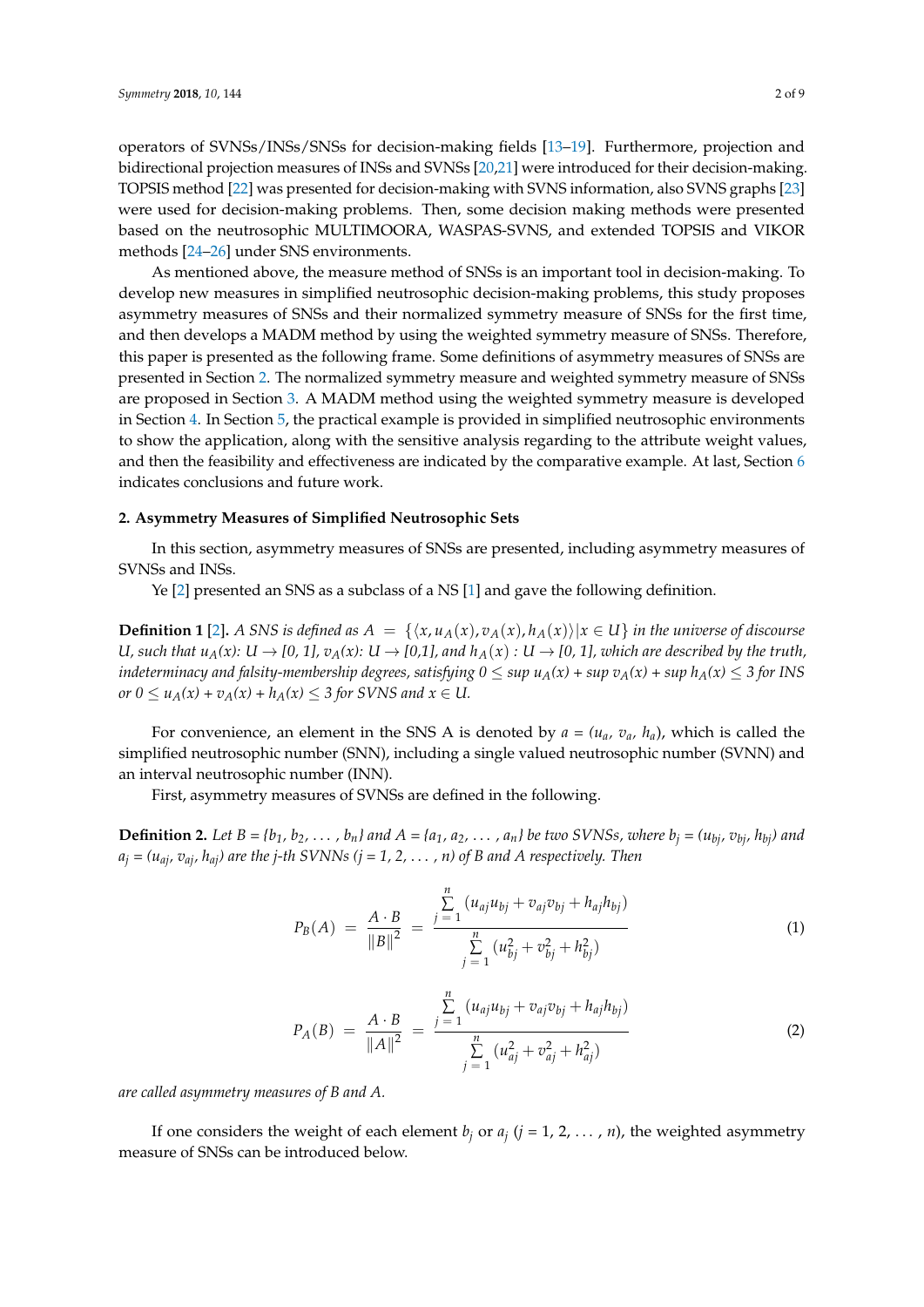operators of SVNSs/INSs/SNSs for decision-making fields [\[13–](#page-9-1)[19\]](#page-9-2). Furthermore, projection and bidirectional projection measures of INSs and SVNSs [\[20](#page-9-3)[,21\]](#page-9-4) were introduced for their decision-making. TOPSIS method [\[22\]](#page-9-5) was presented for decision-making with SVNS information, also SVNS graphs [\[23\]](#page-9-6) were used for decision-making problems. Then, some decision making methods were presented based on the neutrosophic MULTIMOORA, WASPAS-SVNS, and extended TOPSIS and VIKOR methods [\[24–](#page-9-7)[26\]](#page-9-8) under SNS environments.

As mentioned above, the measure method of SNSs is an important tool in decision-making. To develop new measures in simplified neutrosophic decision-making problems, this study proposes asymmetry measures of SNSs and their normalized symmetry measure of SNSs for the first time, and then develops a MADM method by using the weighted symmetry measure of SNSs. Therefore, this paper is presented as the following frame. Some definitions of asymmetry measures of SNSs are presented in Section [2.](#page-2-0) The normalized symmetry measure and weighted symmetry measure of SNSs are proposed in Section [3.](#page-4-0) A MADM method using the weighted symmetry measure is developed in Section [4.](#page-4-1) In Section [5,](#page-5-0) the practical example is provided in simplified neutrosophic environments to show the application, along with the sensitive analysis regarding to the attribute weight values, and then the feasibility and effectiveness are indicated by the comparative example. At last, Section [6](#page-8-8) indicates conclusions and future work.

### <span id="page-2-0"></span>**2. Asymmetry Measures of Simplified Neutrosophic Sets**

In this section, asymmetry measures of SNSs are presented, including asymmetry measures of SVNSs and INSs.

Ye [\[2\]](#page-8-1) presented an SNS as a subclass of a NS [\[1\]](#page-8-0) and gave the following definition.

**Definition 1** [\[2\]](#page-8-1). *A SNS is defined as*  $A = \{ \langle x, u_A(x), v_A(x), h_A(x) \rangle | x \in U \}$  *in the universe of discourse U, such that*  $u_A(x)$ *: U*  $\rightarrow$  *[0, 1],*  $v_A(x)$ *: U*  $\rightarrow$  *[0,1], and*  $h_A(x)$ *: U*  $\rightarrow$  *[0, 1], which are described by the truth, indeterminacy and falsity-membership degrees, satisfying*  $0 \leq \sup u_A(x) + \sup v_A(x) + \sup h_A(x) \leq 3$  *for INS or*  $0 \le u_A(x) + v_A(x) + h_A(x) \le 3$  *for SVNS and*  $x \in U$ .

For convenience, an element in the SNS A is denoted by  $a = (u_a, v_a, h_a)$ , which is called the simplified neutrosophic number (SNN), including a single valued neutrosophic number (SVNN) and an interval neutrosophic number (INN).

First, asymmetry measures of SVNSs are defined in the following.

**Definition 2.** Let  $B = \{b_1, b_2, ..., b_n\}$  and  $A = \{a_1, a_2, ..., a_n\}$  be two SVNSs, where  $b_j = (u_{bj}, v_{bj}, h_{bj})$  and  $a_j = (u_{ai}, v_{ai}, h_{ai})$  are the *j*-th SVNNs  $(j = 1, 2, ..., n)$  of B and A respectively. Then

$$
P_B(A) = \frac{A \cdot B}{\|B\|^2} = \frac{\sum\limits_{j=1}^n (u_{aj}u_{bj} + v_{aj}v_{bj} + h_{aj}h_{bj})}{\sum\limits_{j=1}^n (u_{bj}^2 + v_{bj}^2 + h_{bj}^2)}
$$
(1)

$$
P_A(B) = \frac{A \cdot B}{\|A\|^2} = \frac{\sum\limits_{j=1}^{n} (u_{aj}u_{bj} + v_{aj}v_{bj} + h_{aj}h_{bj})}{\sum\limits_{j=1}^{n} (u_{aj}^2 + v_{aj}^2 + h_{aj}^2)}
$$
(2)

*are called asymmetry measures of B and A.*

If one considers the weight of each element  $b_j$  or  $a_j$  ( $j = 1, 2, ..., n$ ), the weighted asymmetry measure of SNSs can be introduced below.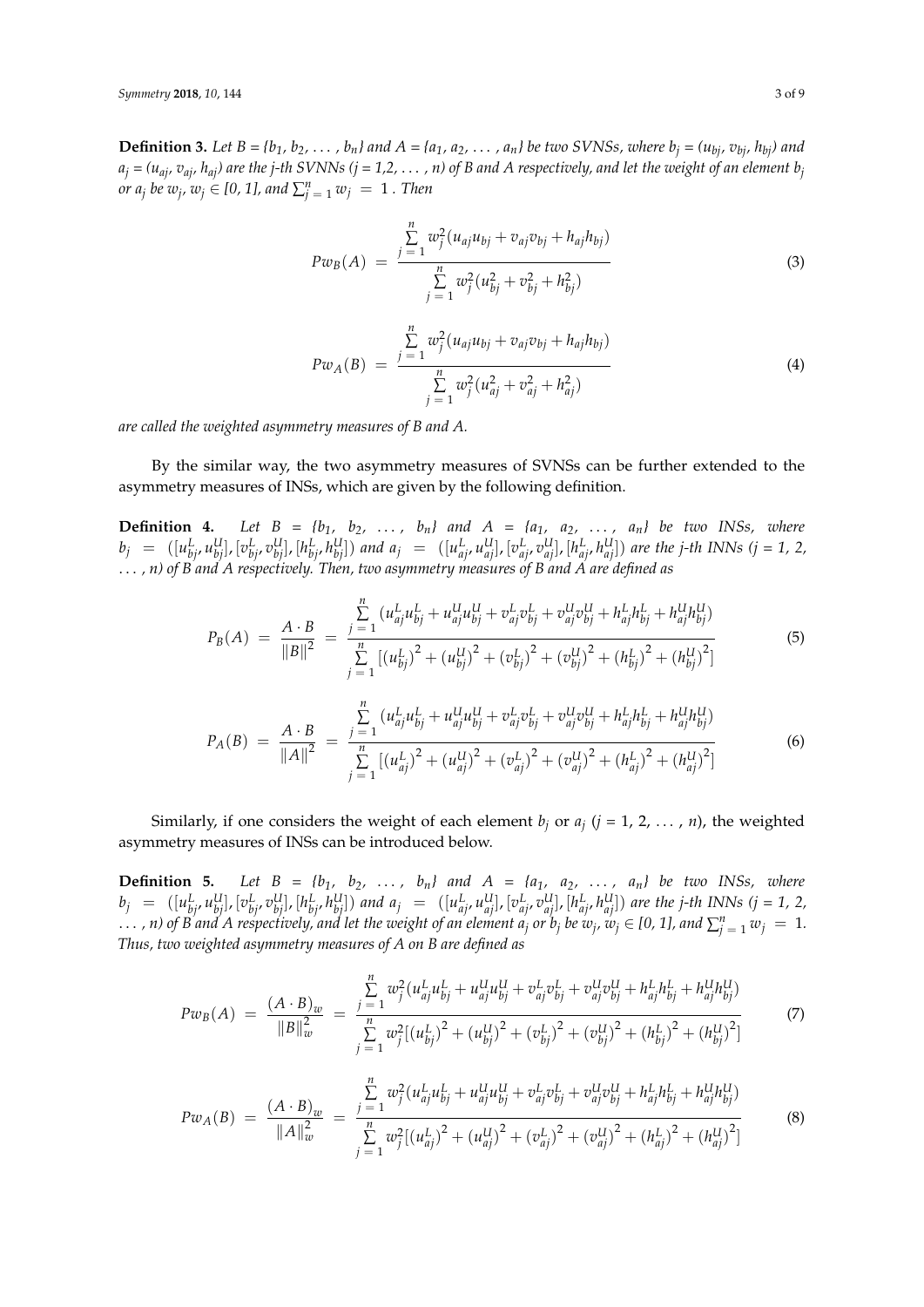**Definition 3.** Let  $B = \{b_1, b_2, \ldots, b_n\}$  and  $A = \{a_1, a_2, \ldots, a_n\}$  be two SVNSs, where  $b_i = (u_{bi}, v_{bi}, h_{bi})$  and  $a_j = (u_{ai}, v_{ai}, h_{ai})$  are the *j*-th SVNNs (*j* = 1,2, . . . , n) of B and A respectively, and let the weight of an element  $b_j$ *or*  $a_j$  *be*  $w_j$ ,  $w_j \in [0, 1]$ , and  $\sum_{j=1}^n w_j = 1$  . Then

$$
Pw_B(A) = \frac{\sum_{j=1}^{n} w_j^2 (u_{aj}u_{bj} + v_{aj}v_{bj} + h_{aj}h_{bj})}{\sum_{j=1}^{n} w_j^2 (u_{bj}^2 + v_{bj}^2 + h_{bj}^2)}
$$
(3)

$$
Pw_A(B) = \frac{\sum_{j=1}^{n} w_j^2 (u_{aj}u_{bj} + v_{aj}v_{bj} + h_{aj}h_{bj})}{\sum_{j=1}^{n} w_j^2 (u_{aj}^2 + v_{aj}^2 + h_{aj}^2)}
$$
(4)

*are called the weighted asymmetry measures of B and A.*

By the similar way, the two asymmetry measures of SVNSs can be further extended to the asymmetry measures of INSs, which are given by the following definition.

**Definition 4.** Let  $B = \{b_1, b_2, \ldots, b_n\}$  and  $A = \{a_1, a_2, \ldots, a_n\}$  be two INSs, where  $b_j = ([u_{bj}^L, u_{bj}^U], [v_{bj}^L, v_{bj}^U], [h_{bj}^L, h_{bj}^U])$  and  $a_j = ([u_{aj}^L, u_{aj}^U], [v_{aj}^L, v_{aj}^U], [h_{aj}^L, h_{aj}^U])$  are the j-th INNs (j = 1, 2, . . . *, n) of B and A respectively. Then, two asymmetry measures of B and A are defined as*

$$
P_B(A) = \frac{A \cdot B}{\|B\|^2} = \frac{\sum_{j=1}^{n} (u_{aj}^L u_{bj}^L + u_{aj}^U u_{bj}^U + v_{aj}^L v_{bj}^L + v_{aj}^U v_{bj}^U + h_{aj}^L h_{bj}^L + h_{aj}^U h_{bj}^U)}{\sum_{j=1}^{n} [(u_{bj}^L)^2 + (u_{bj}^U)^2 + (v_{bj}^L)^2 + (v_{bj}^U)^2 + (h_{bj}^L)^2 + (h_{bj}^U)^2]}
$$
(5)

$$
P_A(B) = \frac{A \cdot B}{\|A\|^2} = \frac{\sum\limits_{j=1}^{n} (u_{aj}^L u_{bj}^L + u_{aj}^U u_{bj}^U + v_{aj}^L v_{bj}^L + v_{aj}^U v_{bj}^U + h_{aj}^L h_{bj}^L + h_{aj}^U h_{bj}^U)}{\sum\limits_{j=1}^{n} [(u_{aj}^L)^2 + (u_{aj}^U)^2 + (v_{aj}^L)^2 + (v_{aj}^U)^2 + (h_{aj}^L)^2 + (h_{aj}^U)^2]}
$$
(6)

Similarly, if one considers the weight of each element  $b_j$  or  $a_j$  ( $j = 1, 2, ..., n$ ), the weighted asymmetry measures of INSs can be introduced below.

**Definition 5.** Let  $B = \{b_1, b_2, \ldots, b_n\}$  and  $A = \{a_1, a_2, \ldots, a_n\}$  be two INSs, where  $b_j = ([u_{bj}^L, u_{bj}^U], [v_{bj}^L, v_{bj}^U], [h_{bj}^L, h_{bj}^U])$  and  $a_j = ([u_{aj}^L, u_{aj}^U], [v_{aj}^L, v_{aj}^U], [h_{aj}^L, h_{aj}^U])$  are the j-th INNs (j = 1, 2,  $\ldots$  , n) of B and A respectively, and let the weight of an element  $a_j$  or  $b_j$  be  $w_j$ ,  $w_j\in$  [0, 1], and  $\sum_{j=1}^n w_j~=~1.$ *Thus, two weighted asymmetry measures of A on B are defined as*

$$
Pw_B(A) = \frac{(A \cdot B)_w}{\|B\|_w^2} = \frac{\sum\limits_{j=1}^n w_j^2 (u_{aj}^L u_{bj}^L + u_{aj}^U u_{bj}^U + v_{aj}^L v_{bj}^L + v_{aj}^U v_{bj}^U + h_{aj}^L h_{bj}^L + h_{aj}^U h_{bj}^U)}{\sum\limits_{j=1}^n w_j^2 [(u_{bj}^L)^2 + (u_{bj}^U)^2 + (v_{bj}^L)^2 + (v_{bj}^U)^2 + (h_{bj}^L)^2 + (h_{bj}^U)^2]}
$$
(7)

$$
Pw_A(B) = \frac{(A \cdot B)_w}{\|A\|_w^2} = \frac{\sum\limits_{j=1}^n w_j^2 (u_{aj}^L u_{bj}^L + u_{aj}^U u_{bj}^U + v_{aj}^L v_{bj}^L + v_{aj}^U v_{bj}^U + h_{aj}^L h_{bj}^L + h_{aj}^U h_{bj}^U)}{\sum\limits_{j=1}^n w_j^2 [(u_{aj}^L)^2 + (u_{aj}^U)^2 + (v_{aj}^L)^2 + (v_{aj}^U)^2 + (h_{aj}^L)^2 + (h_{aj}^U)^2]}
$$
(8)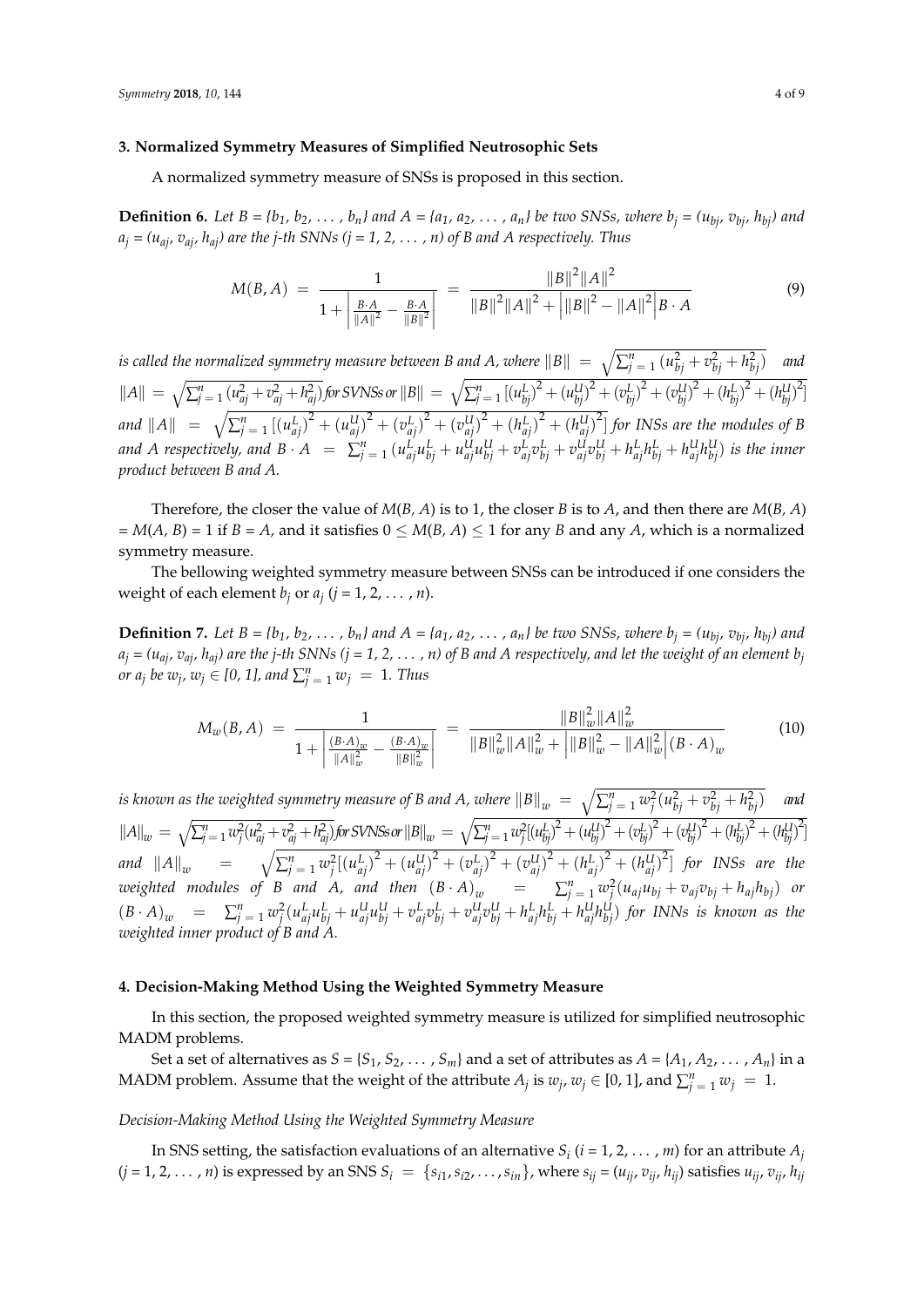#### <span id="page-4-0"></span>**3. Normalized Symmetry Measures of Simplified Neutrosophic Sets**

A normalized symmetry measure of SNSs is proposed in this section.

**Definition 6.** Let  $B = \{b_1, b_2, ..., b_n\}$  and  $A = \{a_1, a_2, ..., a_n\}$  be two SNSs, where  $b_i = (u_{bi}, v_{bi}, h_{bi})$  and  $a_j = (u_{ai}, v_{ai}, h_{ai})$  are the *j*-th SNNs (*j* = 1, 2, . . . , *n*) of *B* and *A* respectively. Thus

$$
M(B, A) = \frac{1}{1 + \left| \frac{B \cdot A}{\|A\|^2} - \frac{B \cdot A}{\|B\|^2} \right|} = \frac{\|B\|^2 \|A\|^2}{\|B\|^2 \|A\|^2 + \left| \|B\|^2 - \|A\|^2 \right| B \cdot A}
$$
(9)

*is called the normalized symmetry measure between B and A, where*  $\|B\| = \sqrt{\sum_{j=1}^n{(u_{bj}^2+v_{bj}^2+h_{bj}^2)}}$  *and*  $\|A\| = \sqrt{\sum_{j=1}^{n} (u_{aj}^2 + v_{aj}^2 + h_{aj}^2)}$  for SVNSs or  $\|B\| = \sqrt{\sum_{j=1}^{n} [(u_{bj}^L)^2 + (u_{bj}^U)^2 + (v_{bj}^L)^2 + (v_{bj}^U)^2 + (h_{bj}^L)^2 + (h_{bj}^U)^2]}$ and  $\|A\| = \sqrt{\sum_{j=1}^{n}[(u_{aj}^{L})^{2} + (u_{aj}^{U})^{2} + (v_{aj}^{L})^{2} + (v_{aj}^{U})^{2} + (h_{aj}^{L})^{2} + (h_{aj}^{U})^{2}]}$  for INSs are the modules of B and A respectively, and  $B \cdot A = \sum_{j=1}^{n} (u_{aj}^L u_{bj}^L + u_{aj}^U u_{bj}^U + v_{aj}^L v_{bj}^L + v_{aj}^U v_{bj}^U + h_{aj}^L h_{bj}^L + h_{aj}^U h_{bj}^U)$  is the inner *product between B and A.*

Therefore, the closer the value of  $M(B, A)$  is to 1, the closer *B* is to *A*, and then there are  $M(B, A)$  $M(A, B) = 1$  if  $B = A$ , and it satisfies  $0 \le M(B, A) \le 1$  for any *B* and any *A*, which is a normalized symmetry measure.

The bellowing weighted symmetry measure between SNSs can be introduced if one considers the weight of each element  $b_j$  or  $a_j$  ( $j = 1, 2, ..., n$ ).

**Definition 7.** Let  $B = \{b_1, b_2, ..., b_n\}$  and  $A = \{a_1, a_2, ..., a_n\}$  be two SNSs, where  $b_i = (u_{bi}, v_{bi}, h_{bi})$  and  $a_j = (u_{aj}, v_{aj}, h_{aj})$  are the *j*-th SNNs (*j* = 1, 2, . . . , n) of B and A respectively, and let the weight of an element  $b_j$ *or*  $a_j$  *be*  $w_j$ ,  $w_j \in [0, 1]$ , and  $\sum_{j=1}^n w_j = 1$ . Thus

$$
M_w(B,A) = \frac{1}{1 + \left| \frac{(B \cdot A)_w}{\|A\|_w^2} - \frac{(B \cdot A)_w}{\|B\|_w^2} \right|} = \frac{\|B\|_w^2 \|A\|_w^2}{\|B\|_w^2 \|A\|_w^2 + \left| \|B\|_w^2 - \|A\|_w^2 \right| (B \cdot A)_w}
$$
(10)

*is known as the weighted symmetry measure of B and A, where*  $\|B\|_w = \sqrt{\sum_{j=1}^n w_j^2(u_{bj}^2+v_{bj}^2+h_{bj}^2)}$  *and*  $||A||_w = \sqrt{\sum_{j=1}^n w_j^2 (u_{aj}^2 + v_{aj}^2 + h_{aj}^2)}$  for SVNSs or  $||B||_w = \sqrt{\sum_{j=1}^n w_j^2 [(u_{bj}^L)^2 + (u_{bj}^U)^2 + (v_{bj}^L)^2 + (v_{bj}^U)^2 + (h_{bj}^L)^2 + (h_{bj}^U)^2 ]$ and  $||A||_{w} = \sqrt{\sum_{j=1}^{n} w_{j}^{2}[(u_{aj}^{L})^{2} + (u_{aj}^{U})^{2} + (v_{aj}^{L})^{2} + (v_{aj}^{U})^{2} + (h_{aj}^{L})^{2} + (h_{aj}^{U})^{2}]}$  for INSs are the weighted modules of B and A, and then  $(B \cdot A)_w = \sum_{j=1}^n w_j^2 (u_{aj}u_{bj} + v_{aj}v_{bj} + h_{aj}h_{bj})$  or  $(B \cdot A)_{w}$  =  $\sum_{j=1}^{n} w_j^2 (u_{aj}^L u_{bj}^L + u_{aj}^U u_{bj}^U + v_{aj}^L v_{bj}^L + v_{aj}^U v_{bj}^U + h_{aj}^L h_{bj}^L + h_{aj}^U h_{bj}^U)$  for INNs is known as the *weighted inner product of B and A.*

#### <span id="page-4-1"></span>**4. Decision-Making Method Using the Weighted Symmetry Measure**

In this section, the proposed weighted symmetry measure is utilized for simplified neutrosophic MADM problems.

Set a set of alternatives as  $S = \{S_1, S_2, \dots, S_m\}$  and a set of attributes as  $A = \{A_1, A_2, \dots, A_n\}$  in a MADM problem. Assume that the weight of the attribute  $A_j$  is  $w_j$ ,  $w_j \in [0, 1]$ , and  $\sum_{j=1}^{n} w_j = 1$ .

#### *Decision-Making Method Using the Weighted Symmetry Measure*

In SNS setting, the satisfaction evaluations of an alternative  $S_i$   $(i = 1, 2, \ldots, m)$  for an attribute  $A_j$  $(j=1,2,\ldots,n)$  is expressed by an SNS  $S_i = \{s_{i1}, s_{i2}, \ldots, s_{in}\}\$ , where  $s_{ij} = (u_{ij}, v_{ij}, h_{ij})$  satisfies  $u_{ij}, v_{ij}, h_{ij}$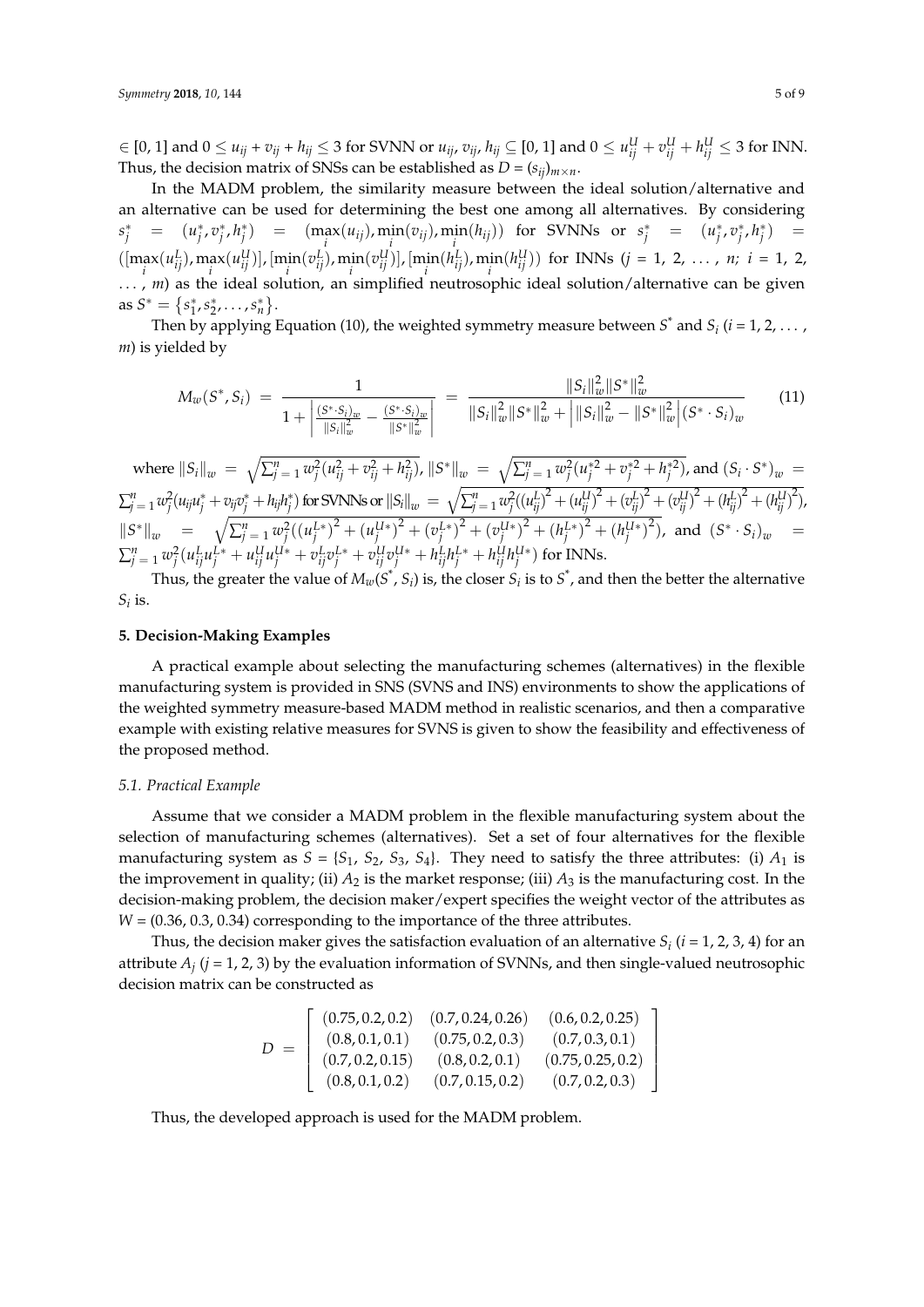$i\in[0,1]$  and  $0\leq u_{ij}+v_{ij}+h_{ij}\leq 3$  for SVNN or  $u_{ij}$ ,  $v_{ij}$ ,  $h_{ij}\subseteq[0,1]$  and  $0\leq u_{ij}^U+v_{ij}^U+h_{ij}^U\leq 3$  for INN. Thus, the decision matrix of SNSs can be established as  $D = (s_{ij})_{m \times n}$ .

In the MADM problem, the similarity measure between the ideal solution/alternative and an alternative can be used for determining the best one among all alternatives. By considering  $s_j^* = (u_j^*, v_j^*, h_j^*) = ( \max_i (u_{ij}), \min_i (v_{ij}), \min_i (h_{ij}) )$  for SVNNs or  $s_j^* = (u_j^*, v_j^*, h_j^*) =$  $(\left[\max_i(u_{ij}^L), \max_i(u_{ij}^U]\right], \left[\min_i(v_{ij}^L), \min_i(v_{ij}^U)\right], \left[\min_i(h_{ij}^L), \min_i(h_{ij}^U)\right)$  for INNs  $(j = 1, 2, ..., n; i = 1, 2, ...)$ . . . , *m*) as the ideal solution, an simplified neutrosophic ideal solution/alternative can be given as  $S^* = \{s_1^*, s_2^*, \ldots, s_n^*\}.$ 

Then by applying Equation (10), the weighted symmetry measure between  $S^*$  and  $S_i$  ( $i = 1, 2, \ldots$  , *m*) is yielded by

$$
M_w(S^*, S_i) = \frac{1}{1 + \left| \frac{(S^* \cdot S_i)_w}{\|S_i\|_w^2} - \frac{(S^* \cdot S_i)_w}{\|S^* \|_w^2} \right|} = \frac{\|S_i\|_w^2 \|S^*\|_w^2}{\|S_i\|_w^2 \|S^* \|_w^2 + \left| \|S_i\|_w^2 - \|S^* \|_w^2 \right| (S^* \cdot S_i)_w}
$$
(11)

where  $\|S_i\|_w = \sqrt{\sum_{j\,=\,1}^n w_j^2(u_{ij}^2 + v_{ij}^2 + h_{ij}^2)}$ ,  $\|S^*\|_w = \sqrt{\sum_{j\,=\,1}^n w_j^2(u_j^{*2} + v_j^{*2} + h_j^{*2})}$ , and  $(S_i \cdot S^*)_w =$  $\sum_{j \, = \, 1}^{n} w_{j}^{2}(u_{ij}u_{j}^{*}+v_{ij}v_{j}^{*}+h_{ij}h_{j}^{*}) \text{ for SVMs or } ||S_{i}||_{w} \; = \; \sqrt{\sum_{j \, = \, 1}^{n} w_{j}^{2}((u_{ij}^{L})^{2}+(u_{ij}^{U})^{2}+(v_{ij}^{L})^{2}+(v_{ij}^{U})^{2}+(h_{ij}^{L})^{2}+(h_{ij}^{L})^{2})} \text{,}$  $||S^*||_w = \sqrt{\sum_{j=1}^n w_j^2((u_j^{L*})^2 + (u_j^{U*})^2 + (v_j^{L*})^2 + (v_j^{U*})^2 + (h_j^{L*})^2 + (h_j^{U*})^2)},$  and  $(S^* \cdot S_i)_{w} =$  $\sum_{j \,=\, 1}^{n} w_{j}^{2} (u_{ij}^{L} u_{j}^{L*} + u_{ij}^{U} u_{j}^{U*} + v_{ij}^{L} v_{j}^{L*} + v_{ij}^{U} v_{j}^{U*} + h_{ij}^{L} h_{j}^{L*} + h_{ij}^{U} h_{j}^{U*}) \text{ for INNs}.$ 

Thus, the greater the value of  $M_w(S^*, S_i)$  is, the closer  $S_i$  is to  $S^*$ , and then the better the alternative  $S_i$  is.

### <span id="page-5-0"></span>**5. Decision-Making Examples**

A practical example about selecting the manufacturing schemes (alternatives) in the flexible manufacturing system is provided in SNS (SVNS and INS) environments to show the applications of the weighted symmetry measure-based MADM method in realistic scenarios, and then a comparative example with existing relative measures for SVNS is given to show the feasibility and effectiveness of the proposed method.

#### *5.1. Practical Example*

Assume that we consider a MADM problem in the flexible manufacturing system about the selection of manufacturing schemes (alternatives). Set a set of four alternatives for the flexible manufacturing system as  $S = \{S_1, S_2, S_3, S_4\}$ . They need to satisfy the three attributes: (i)  $A_1$  is the improvement in quality; (ii)  $A_2$  is the market response; (iii)  $A_3$  is the manufacturing cost. In the decision-making problem, the decision maker/expert specifies the weight vector of the attributes as *W* = (0.36, 0.3, 0.34) corresponding to the importance of the three attributes.

Thus, the decision maker gives the satisfaction evaluation of an alternative  $S_i$  ( $i = 1, 2, 3, 4$ ) for an attribute  $A_j$  ( $j$  = 1, 2, 3) by the evaluation information of SVNNs, and then single-valued neutrosophic decision matrix can be constructed as

$$
D = \left[ \begin{array}{cccc} (0.75, 0.2, 0.2) & (0.7, 0.24, 0.26) & (0.6, 0.2, 0.25) \\ (0.8, 0.1, 0.1) & (0.75, 0.2, 0.3) & (0.7, 0.3, 0.1) \\ (0.7, 0.2, 0.15) & (0.8, 0.2, 0.1) & (0.75, 0.25, 0.2) \\ (0.8, 0.1, 0.2) & (0.7, 0.15, 0.2) & (0.7, 0.2, 0.3) \end{array} \right]
$$

Thus, the developed approach is used for the MADM problem.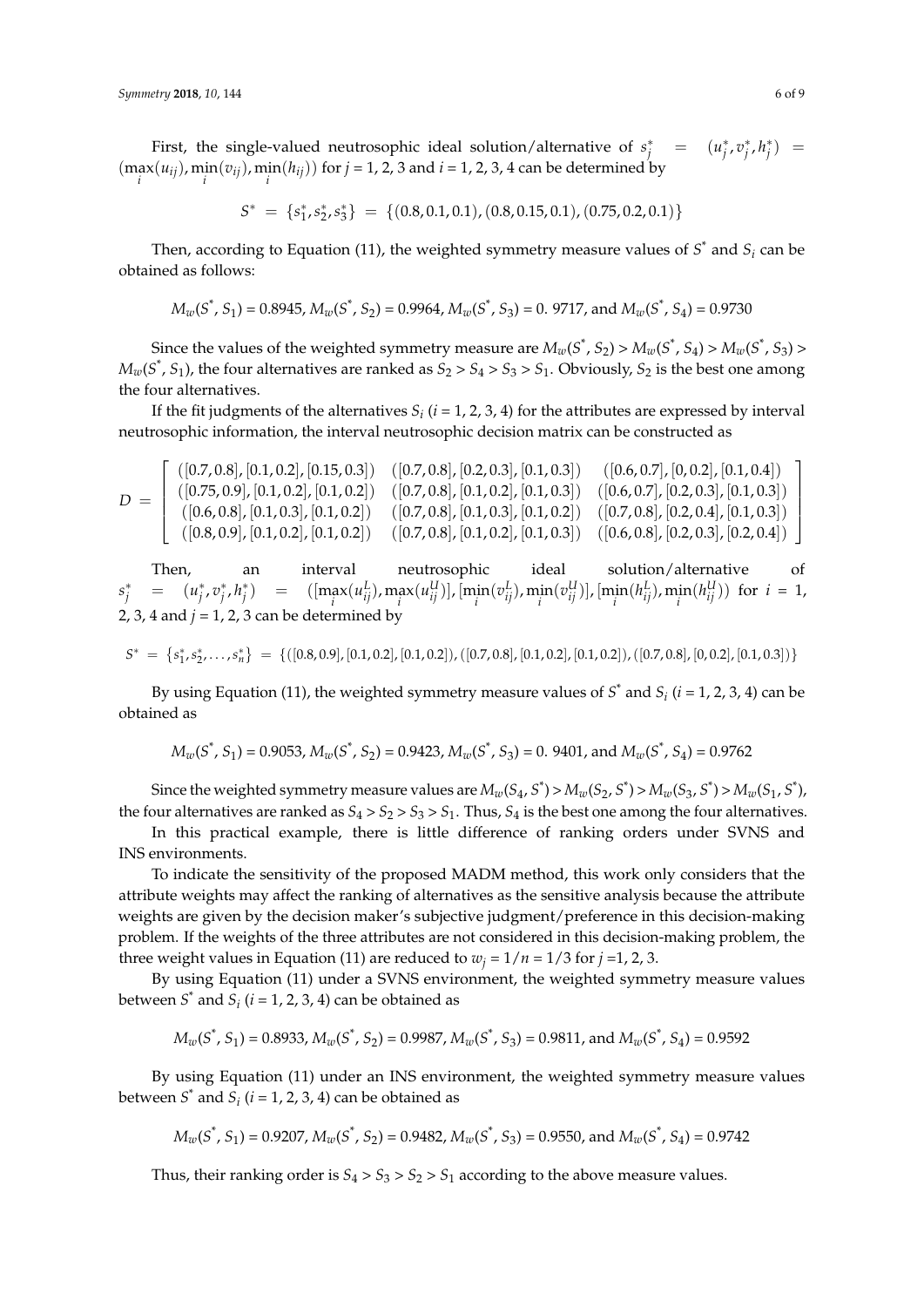First, the single-valued neutrosophic ideal solution/alternative of  $s_j^* = (u_j^*, v_j^*, h_j^*) =$  $(\max_i(u_{ij}), \min_i(v_{ij}), \min_i(h_{ij}))$  for  $j = 1, 2, 3$  and  $i = 1, 2, 3, 4$  can be determined by

$$
S^* = \{s_1^*, s_2^*, s_3^*\} = \{(0.8, 0.1, 0.1), (0.8, 0.15, 0.1), (0.75, 0.2, 0.1)\}
$$

Then, according to Equation (11), the weighted symmetry measure values of  $S^*$  and  $S_i$  can be obtained as follows:

$$
M_w(S^*, S_1) = 0.8945, M_w(S^*, S_2) = 0.9964, M_w(S^*, S_3) = 0.9717, \text{ and } M_w(S^*, S_4) = 0.9730
$$

Since the values of the weighted symmetry measure are  $M_w(S^*, S_2)$  >  $M_w(S^*, S_4)$  >  $M_w(S^*, S_3)$  >  $M_w(S^*, S_1)$ , the four alternatives are ranked as  $S_2 > S_4 > S_3 > S_1$ . Obviously,  $S_2$  is the best one among the four alternatives.

If the fit judgments of the alternatives  $S_i$   $(i = 1, 2, 3, 4)$  for the attributes are expressed by interval neutrosophic information, the interval neutrosophic decision matrix can be constructed as

$$
D = \left[\begin{array}{cccc} ([0.7, 0.8], [0.1, 0.2], [0.15, 0.3]) & ([0.7, 0.8], [0.2, 0.3], [0.1, 0.3]) & ([0.6, 0.7], [0, 0.2], [0.1, 0.4]) \\ ([0.75, 0.9], [0.1, 0.2], [0.1, 0.2]) & ([0.7, 0.8], [0.1, 0.2], [0.1, 0.3]) & ([0.6, 0.7], [0.2, 0.3], [0.1, 0.3]) \\ ([0.6, 0.8], [0.1, 0.3], [0.1, 0.2]) & ([0.7, 0.8], [0.1, 0.3], [0.1, 0.2]) & ([0.7, 0.8], [0.2, 0.4], [0.1, 0.3]) \\ ([0.8, 0.9], [0.1, 0.2], [0.1, 0.2]) & ([0.7, 0.8], [0.1, 0.2], [0.1, 0.3]) & ([0.6, 0.8], [0.2, 0.3], [0.2, 0.4]) \end{array}\right]
$$

interval neutrosophic ideal solution/alternative of  $s_j^*$  =  $(u_j^*, v_j^*, h_j^*)$  =  $([\max_i(u_{ij}^L), \max_i(u_{ij}^U)], [\min_i(v_{ij}^L), \min_i(v_{ij}^U)], [\min_i(h_{ij}^L), \min_i(h_{ij}^U))$  for  $i = 1$ , 2, 3, 4 and  $j = 1$ , 2, 3 can be determined by

$$
S^* \ = \ \left\{s_1^*,s_2^*,\ldots,s_n^*\right\} \ = \ \left\{([0.8,0.9],[0.1,0.2],[0.1,0.2]),([0.7,0.8],[0.1,0.2],[0.1,0.2]),([0.7,0.8],[0.0.2],[0.1,0.3])\right\}
$$

By using Equation (11), the weighted symmetry measure values of  $S^*$  and  $S_i$  ( $i = 1, 2, 3, 4$ ) can be obtained as

$$
M_w(S^*, S_1) = 0.9053
$$
,  $M_w(S^*, S_2) = 0.9423$ ,  $M_w(S^*, S_3) = 0.9401$ , and  $M_w(S^*, S_4) = 0.9762$ 

Since the weighted symmetry measure values are  $M_w(S_4, S^*) > M_w(S_2, S^*) > M_w(S_3, S^*) > M_w(S_1, S^*)$ , the four alternatives are ranked as  $S_4 > S_2 > S_3 > S_1$ . Thus,  $S_4$  is the best one among the four alternatives.

In this practical example, there is little difference of ranking orders under SVNS and INS environments.

To indicate the sensitivity of the proposed MADM method, this work only considers that the attribute weights may affect the ranking of alternatives as the sensitive analysis because the attribute weights are given by the decision maker's subjective judgment/preference in this decision-making problem. If the weights of the three attributes are not considered in this decision-making problem, the three weight values in Equation (11) are reduced to  $w_j = 1/n = 1/3$  for  $j = 1, 2, 3$ .

By using Equation (11) under a SVNS environment, the weighted symmetry measure values between  $S^*$  and  $S_i$  ( $i = 1, 2, 3, 4$ ) can be obtained as

$$
M_w(S^*, S_1) = 0.8933, M_w(S^*, S_2) = 0.9987, M_w(S^*, S_3) = 0.9811, \text{ and } M_w(S^*, S_4) = 0.9592
$$

By using Equation (11) under an INS environment, the weighted symmetry measure values between  $S^*$  and  $S_i$  ( $i = 1, 2, 3, 4$ ) can be obtained as

$$
M_w(S^*, S_1) = 0.9207
$$
,  $M_w(S^*, S_2) = 0.9482$ ,  $M_w(S^*, S_3) = 0.9550$ , and  $M_w(S^*, S_4) = 0.9742$ 

Thus, their ranking order is  $S_4 > S_3 > S_2 > S_1$  according to the above measure values.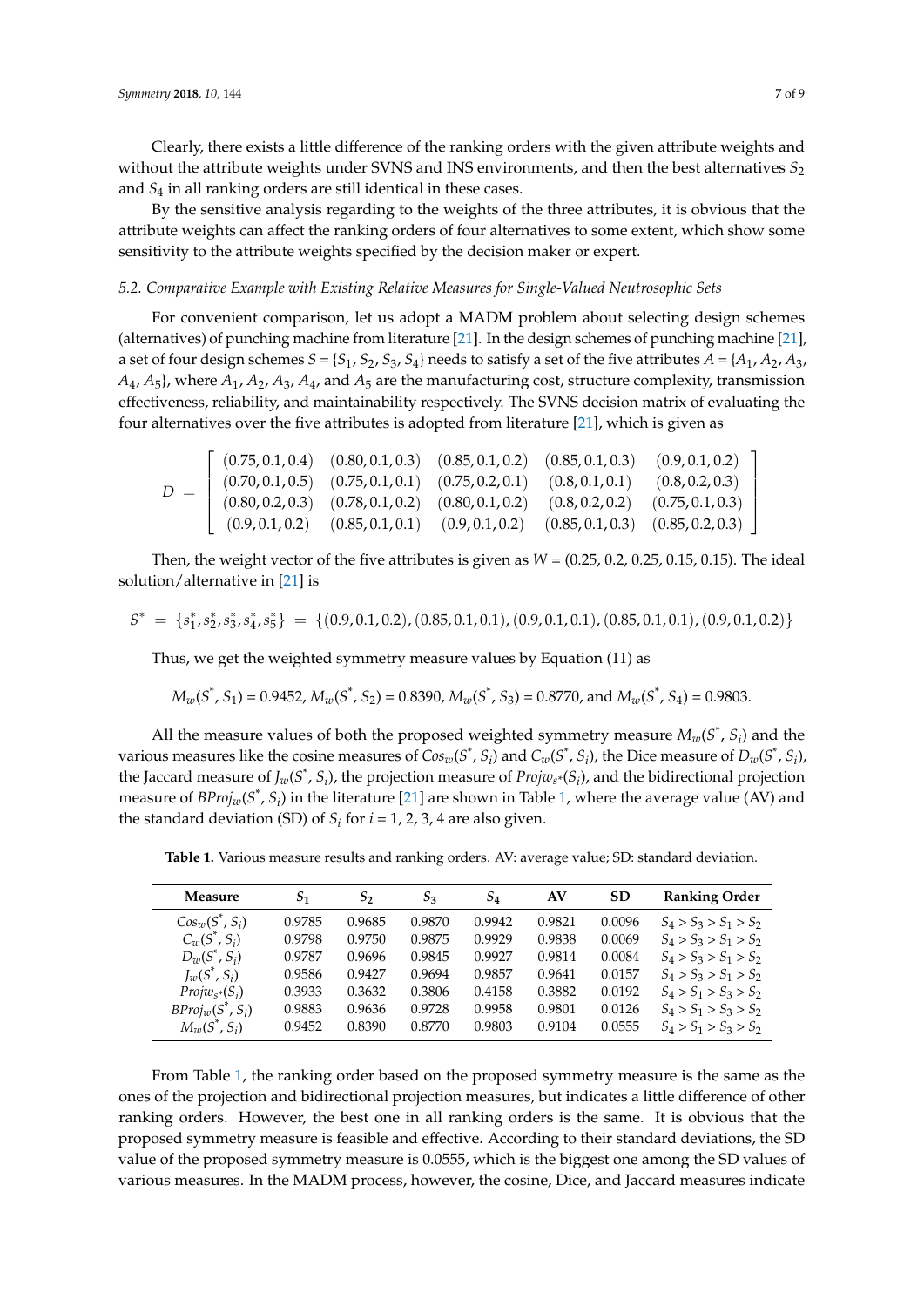Clearly, there exists a little difference of the ranking orders with the given attribute weights and without the attribute weights under SVNS and INS environments, and then the best alternatives  $S_2$ and *S*<sup>4</sup> in all ranking orders are still identical in these cases.

By the sensitive analysis regarding to the weights of the three attributes, it is obvious that the attribute weights can affect the ranking orders of four alternatives to some extent, which show some sensitivity to the attribute weights specified by the decision maker or expert.

#### *5.2. Comparative Example with Existing Relative Measures for Single-Valued Neutrosophic Sets*

For convenient comparison, let us adopt a MADM problem about selecting design schemes (alternatives) of punching machine from literature [\[21\]](#page-9-4). In the design schemes of punching machine [\[21\]](#page-9-4), a set of four design schemes  $S = \{S_1, S_2, S_3, S_4\}$  needs to satisfy a set of the five attributes  $A = \{A_1, A_2, A_3, A_4, A_5, A_6, A_7, A_8, A_9, A_9, A_1, A_2, A_3, A_4, A_5, A_6, A_7, A_8, A_9, A_9, A_1, A_2, A_4, A_5, A_6, A_7, A_8, A_9, A_9, A$ *A*4, *A*5}, where *A*1, *A*2, *A*3, *A*4, and *A*<sup>5</sup> are the manufacturing cost, structure complexity, transmission effectiveness, reliability, and maintainability respectively. The SVNS decision matrix of evaluating the four alternatives over the five attributes is adopted from literature [\[21\]](#page-9-4), which is given as

$$
D = \left[\begin{array}{cccccc} (0.75, 0.1, 0.4) & (0.80, 0.1, 0.3) & (0.85, 0.1, 0.2) & (0.85, 0.1, 0.3) & (0.9, 0.1, 0.2) \\ (0.70, 0.1, 0.5) & (0.75, 0.1, 0.1) & (0.75, 0.2, 0.1) & (0.8, 0.1, 0.1) & (0.8, 0.2, 0.3) \\ (0.80, 0.2, 0.3) & (0.78, 0.1, 0.2) & (0.80, 0.1, 0.2) & (0.8, 0.2, 0.2) & (0.75, 0.1, 0.3) \\ (0.9, 0.1, 0.2) & (0.85, 0.1, 0.1) & (0.9, 0.1, 0.2) & (0.85, 0.1, 0.3) & (0.85, 0.2, 0.3) \end{array}\right]
$$

Then, the weight vector of the five attributes is given as *W* = (0.25, 0.2, 0.25, 0.15, 0.15). The ideal solution/alternative in [\[21\]](#page-9-4) is

$$
S^* = \{s_1^*, s_2^*, s_3^*, s_4^*, s_5^*\} = \{(0.9, 0.1, 0.2), (0.85, 0.1, 0.1), (0.9, 0.1, 0.1), (0.85, 0.1, 0.1), (0.9, 0.1, 0.2)\}
$$

Thus, we get the weighted symmetry measure values by Equation (11) as

$$
M_w(S^*, S_1) = 0.9452
$$
,  $M_w(S^*, S_2) = 0.8390$ ,  $M_w(S^*, S_3) = 0.8770$ , and  $M_w(S^*, S_4) = 0.9803$ .

All the measure values of both the proposed weighted symmetry measure  $M_w(S^*, S_i)$  and the various measures like the cosine measures of  $Cos_w(S^*,S_i)$  and  $C_w(S^*,S_i)$ , the Dice measure of  $D_w(S^*,S_i)$ , the Jaccard measure of  $J_w(S^*, S_i)$ , the projection measure of  $Projw_{s^*}(S_i)$ , and the bidirectional projection measure of  $BProj_w(S^*, S_i)$  in the literature [\[21\]](#page-9-4) are shown in Table [1,](#page-7-0) where the average value (AV) and the standard deviation (SD) of  $S_i$  for  $i = 1, 2, 3, 4$  are also given.

<span id="page-7-0"></span>**Table 1.** Various measure results and ranking orders. AV: average value; SD: standard deviation.

| Measure             | S <sub>1</sub> | $S_2$  | $S_3$  | $S_4$  | AV     | <b>SD</b> | <b>Ranking Order</b>    |
|---------------------|----------------|--------|--------|--------|--------|-----------|-------------------------|
| $Cos_w(S^*, S_i)$   | 0.9785         | 0.9685 | 0.9870 | 0.9942 | 0.9821 | 0.0096    | $S_4 > S_3 > S_1 > S_2$ |
| $C_w(S^*, S_i)$     | 0.9798         | 0.9750 | 0.9875 | 0.9929 | 0.9838 | 0.0069    | $S_4 > S_3 > S_1 > S_2$ |
| $D_w(S^*, S_i)$     | 0.9787         | 0.9696 | 0.9845 | 0.9927 | 0.9814 | 0.0084    | $S_4 > S_3 > S_1 > S_2$ |
| $J_w(S^*, S_i)$     | 0.9586         | 0.9427 | 0.9694 | 0.9857 | 0.9641 | 0.0157    | $S_4 > S_3 > S_1 > S_2$ |
| $Projw_{s^*}(S_i)$  | 0.3933         | 0.3632 | 0.3806 | 0.4158 | 0.3882 | 0.0192    | $S_4 > S_1 > S_3 > S_2$ |
| $BProj_w(S^*, S_i)$ | 0.9883         | 0.9636 | 0.9728 | 0.9958 | 0.9801 | 0.0126    | $S_4 > S_1 > S_3 > S_2$ |
| $M_w(S^*, S_i)$     | 0.9452         | 0.8390 | 0.8770 | 0.9803 | 0.9104 | 0.0555    | $S_4 > S_1 > S_3 > S_2$ |

From Table [1,](#page-7-0) the ranking order based on the proposed symmetry measure is the same as the ones of the projection and bidirectional projection measures, but indicates a little difference of other ranking orders. However, the best one in all ranking orders is the same. It is obvious that the proposed symmetry measure is feasible and effective. According to their standard deviations, the SD value of the proposed symmetry measure is 0.0555, which is the biggest one among the SD values of various measures. In the MADM process, however, the cosine, Dice, and Jaccard measures indicate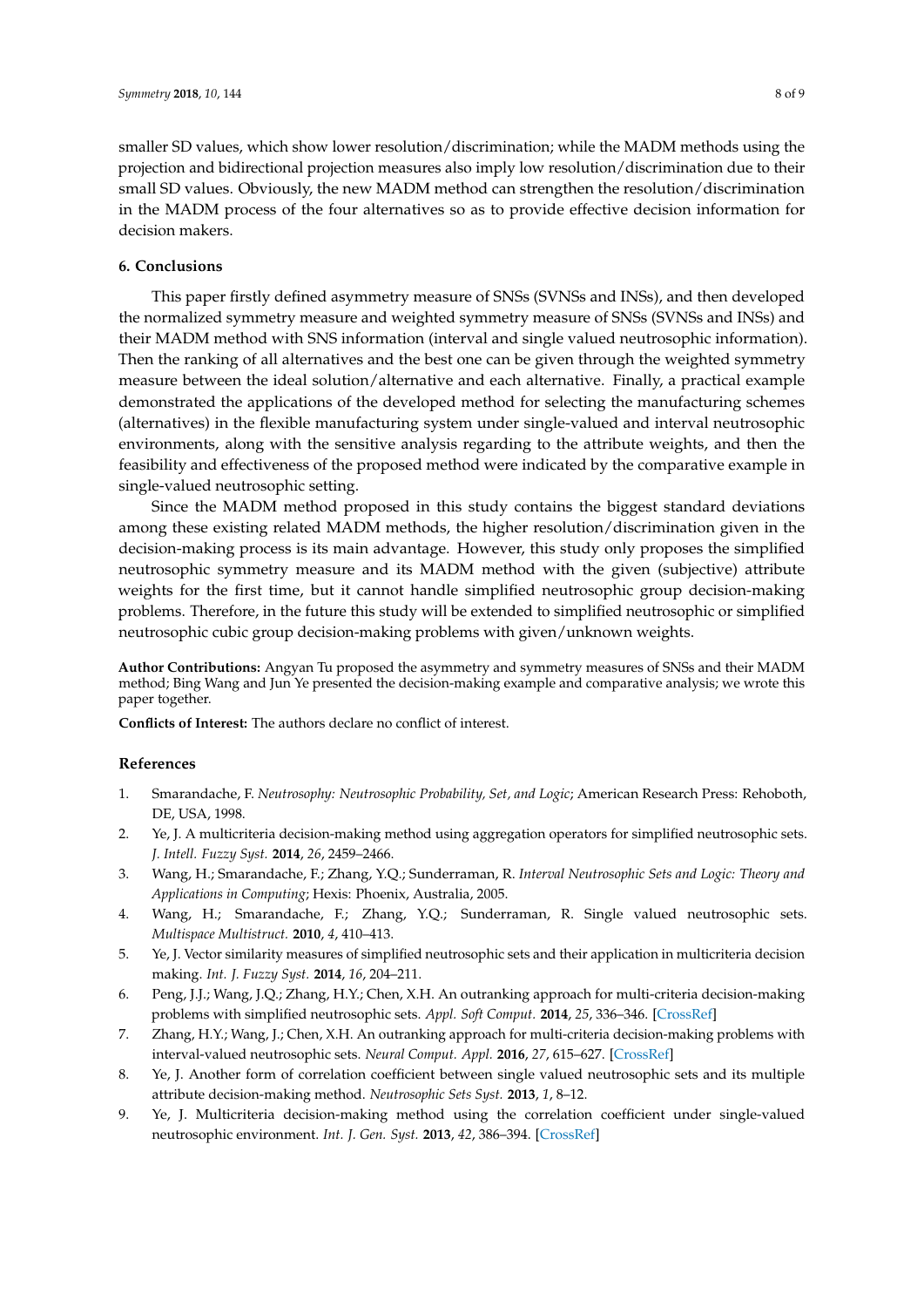smaller SD values, which show lower resolution/discrimination; while the MADM methods using the projection and bidirectional projection measures also imply low resolution/discrimination due to their small SD values. Obviously, the new MADM method can strengthen the resolution/discrimination in the MADM process of the four alternatives so as to provide effective decision information for decision makers.

## <span id="page-8-8"></span>**6. Conclusions**

This paper firstly defined asymmetry measure of SNSs (SVNSs and INSs), and then developed the normalized symmetry measure and weighted symmetry measure of SNSs (SVNSs and INSs) and their MADM method with SNS information (interval and single valued neutrosophic information). Then the ranking of all alternatives and the best one can be given through the weighted symmetry measure between the ideal solution/alternative and each alternative. Finally, a practical example demonstrated the applications of the developed method for selecting the manufacturing schemes (alternatives) in the flexible manufacturing system under single-valued and interval neutrosophic environments, along with the sensitive analysis regarding to the attribute weights, and then the feasibility and effectiveness of the proposed method were indicated by the comparative example in single-valued neutrosophic setting.

Since the MADM method proposed in this study contains the biggest standard deviations among these existing related MADM methods, the higher resolution/discrimination given in the decision-making process is its main advantage. However, this study only proposes the simplified neutrosophic symmetry measure and its MADM method with the given (subjective) attribute weights for the first time, but it cannot handle simplified neutrosophic group decision-making problems. Therefore, in the future this study will be extended to simplified neutrosophic or simplified neutrosophic cubic group decision-making problems with given/unknown weights.

**Author Contributions:** Angyan Tu proposed the asymmetry and symmetry measures of SNSs and their MADM method; Bing Wang and Jun Ye presented the decision-making example and comparative analysis; we wrote this paper together.

**Conflicts of Interest:** The authors declare no conflict of interest.

## **References**

- <span id="page-8-0"></span>1. Smarandache, F. *Neutrosophy: Neutrosophic Probability, Set, and Logic*; American Research Press: Rehoboth, DE, USA, 1998.
- <span id="page-8-1"></span>2. Ye, J. A multicriteria decision-making method using aggregation operators for simplified neutrosophic sets. *J. Intell. Fuzzy Syst.* **2014**, *26*, 2459–2466.
- <span id="page-8-2"></span>3. Wang, H.; Smarandache, F.; Zhang, Y.Q.; Sunderraman, R. *Interval Neutrosophic Sets and Logic: Theory and Applications in Computing*; Hexis: Phoenix, Australia, 2005.
- <span id="page-8-3"></span>4. Wang, H.; Smarandache, F.; Zhang, Y.Q.; Sunderraman, R. Single valued neutrosophic sets. *Multispace Multistruct.* **2010**, *4*, 410–413.
- <span id="page-8-4"></span>5. Ye, J. Vector similarity measures of simplified neutrosophic sets and their application in multicriteria decision making. *Int. J. Fuzzy Syst.* **2014**, *16*, 204–211.
- <span id="page-8-5"></span>6. Peng, J.J.; Wang, J.Q.; Zhang, H.Y.; Chen, X.H. An outranking approach for multi-criteria decision-making problems with simplified neutrosophic sets. *Appl. Soft Comput.* **2014**, *25*, 336–346. [\[CrossRef\]](http://dx.doi.org/10.1016/j.asoc.2014.08.070)
- <span id="page-8-6"></span>7. Zhang, H.Y.; Wang, J.; Chen, X.H. An outranking approach for multi-criteria decision-making problems with interval-valued neutrosophic sets. *Neural Comput. Appl.* **2016**, *27*, 615–627. [\[CrossRef\]](http://dx.doi.org/10.1007/s00521-015-1882-3)
- <span id="page-8-7"></span>8. Ye, J. Another form of correlation coefficient between single valued neutrosophic sets and its multiple attribute decision-making method. *Neutrosophic Sets Syst.* **2013**, *1*, 8–12.
- 9. Ye, J. Multicriteria decision-making method using the correlation coefficient under single-valued neutrosophic environment. *Int. J. Gen. Syst.* **2013**, *42*, 386–394. [\[CrossRef\]](http://dx.doi.org/10.1080/03081079.2012.761609)